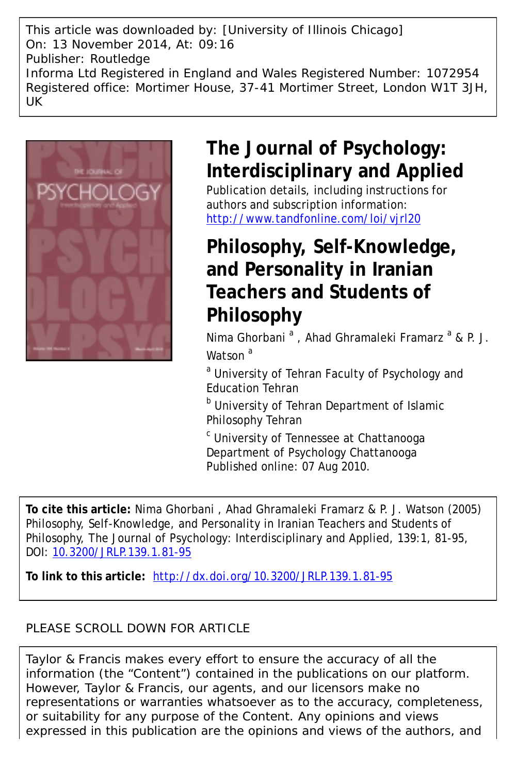This article was downloaded by: [University of Illinois Chicago] On: 13 November 2014, At: 09:16 Publisher: Routledge Informa Ltd Registered in England and Wales Registered Number: 1072954 Registered office: Mortimer House, 37-41 Mortimer Street, London W1T 3JH, UK



# **The Journal of Psychology: Interdisciplinary and Applied**

Publication details, including instructions for authors and subscription information: <http://www.tandfonline.com/loi/vjrl20>

# **Philosophy, Self-Knowledge, and Personality in Iranian Teachers and Students of Philosophy**

Nima Ghorbani<sup>a</sup>, Ahad Ghramaleki Framarz<sup>a</sup> & P. J. Watson<sup>a</sup>

<sup>a</sup> University of Tehran Faculty of Psychology and Education Tehran

**b** University of Tehran Department of Islamic Philosophy Tehran

c University of Tennessee at Chattanooga Department of Psychology Chattanooga Published online: 07 Aug 2010.

**To cite this article:** Nima Ghorbani , Ahad Ghramaleki Framarz & P. J. Watson (2005) Philosophy, Self-Knowledge, and Personality in Iranian Teachers and Students of Philosophy, The Journal of Psychology: Interdisciplinary and Applied, 139:1, 81-95, DOI: [10.3200/JRLP.139.1.81-95](http://www.tandfonline.com/action/showCitFormats?doi=10.3200/JRLP.139.1.81-95)

**To link to this article:** <http://dx.doi.org/10.3200/JRLP.139.1.81-95>

# PLEASE SCROLL DOWN FOR ARTICLE

Taylor & Francis makes every effort to ensure the accuracy of all the information (the "Content") contained in the publications on our platform. However, Taylor & Francis, our agents, and our licensors make no representations or warranties whatsoever as to the accuracy, completeness, or suitability for any purpose of the Content. Any opinions and views expressed in this publication are the opinions and views of the authors, and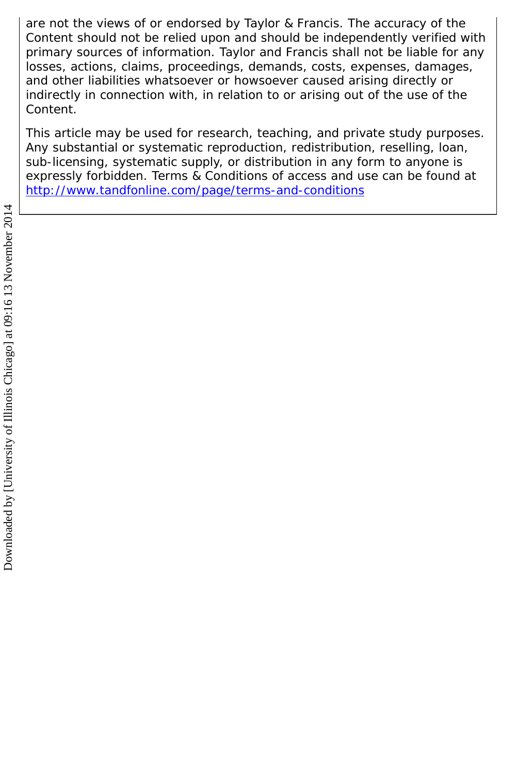are not the views of or endorsed by Taylor & Francis. The accuracy of the Content should not be relied upon and should be independently verified with primary sources of information. Taylor and Francis shall not be liable for any losses, actions, claims, proceedings, demands, costs, expenses, damages, and other liabilities whatsoever or howsoever caused arising directly or indirectly in connection with, in relation to or arising out of the use of the Content.

This article may be used for research, teaching, and private study purposes. Any substantial or systematic reproduction, redistribution, reselling, loan, sub-licensing, systematic supply, or distribution in any form to anyone is expressly forbidden. Terms & Conditions of access and use can be found at <http://www.tandfonline.com/page/terms-and-conditions>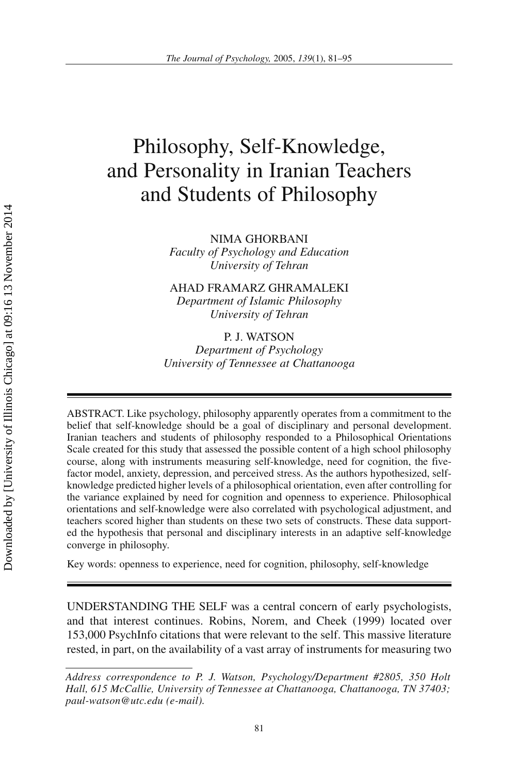# Philosophy, Self-Knowledge, and Personality in Iranian Teachers and Students of Philosophy

NIMA GHORBANI

*Faculty of Psychology and Education University of Tehran*

AHAD FRAMARZ GHRAMALEKI *Department of Islamic Philosophy*

*University of Tehran*

# P. J. WATSON

*Department of Psychology University of Tennessee at Chattanooga*

ABSTRACT. Like psychology, philosophy apparently operates from a commitment to the belief that self-knowledge should be a goal of disciplinary and personal development. Iranian teachers and students of philosophy responded to a Philosophical Orientations Scale created for this study that assessed the possible content of a high school philosophy course, along with instruments measuring self-knowledge, need for cognition, the fivefactor model, anxiety, depression, and perceived stress. As the authors hypothesized, selfknowledge predicted higher levels of a philosophical orientation, even after controlling for the variance explained by need for cognition and openness to experience. Philosophical orientations and self-knowledge were also correlated with psychological adjustment, and teachers scored higher than students on these two sets of constructs. These data supported the hypothesis that personal and disciplinary interests in an adaptive self-knowledge converge in philosophy.

Key words: openness to experience, need for cognition, philosophy, self-knowledge

UNDERSTANDING THE SELF was a central concern of early psychologists, and that interest continues. Robins, Norem, and Cheek (1999) located over 153,000 PsychInfo citations that were relevant to the self. This massive literature rested, in part, on the availability of a vast array of instruments for measuring two

*Address correspondence to P. J. Watson, Psychology/Department #2805, 350 Holt Hall, 615 McCallie, University of Tennessee at Chattanooga, Chattanooga, TN 37403; paul-watson@utc.edu (e-mail).*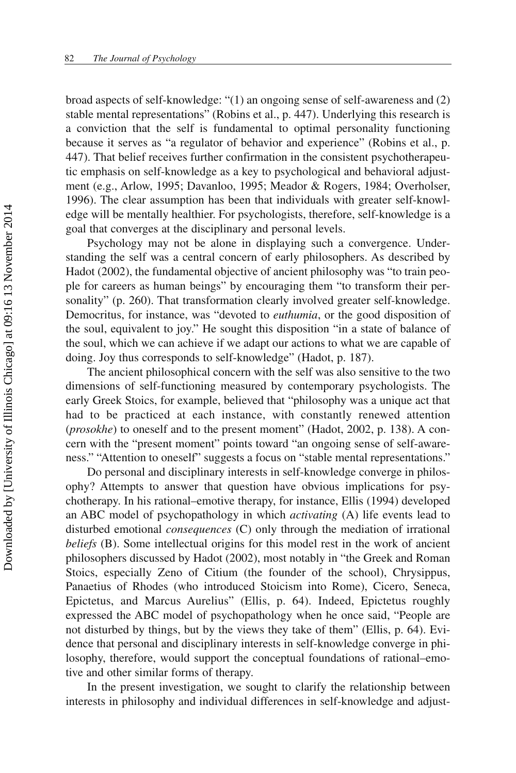broad aspects of self-knowledge: "(1) an ongoing sense of self-awareness and (2) stable mental representations" (Robins et al., p. 447). Underlying this research is a conviction that the self is fundamental to optimal personality functioning because it serves as "a regulator of behavior and experience" (Robins et al., p. 447). That belief receives further confirmation in the consistent psychotherapeutic emphasis on self-knowledge as a key to psychological and behavioral adjustment (e.g., Arlow, 1995; Davanloo, 1995; Meador & Rogers, 1984; Overholser, 1996). The clear assumption has been that individuals with greater self-knowledge will be mentally healthier. For psychologists, therefore, self-knowledge is a goal that converges at the disciplinary and personal levels.

Psychology may not be alone in displaying such a convergence. Understanding the self was a central concern of early philosophers. As described by Hadot (2002), the fundamental objective of ancient philosophy was "to train people for careers as human beings" by encouraging them "to transform their personality" (p. 260). That transformation clearly involved greater self-knowledge. Democritus, for instance, was "devoted to *euthumia*, or the good disposition of the soul, equivalent to joy." He sought this disposition "in a state of balance of the soul, which we can achieve if we adapt our actions to what we are capable of doing. Joy thus corresponds to self-knowledge" (Hadot, p. 187).

The ancient philosophical concern with the self was also sensitive to the two dimensions of self-functioning measured by contemporary psychologists. The early Greek Stoics, for example, believed that "philosophy was a unique act that had to be practiced at each instance, with constantly renewed attention (*prosokhe*) to oneself and to the present moment" (Hadot, 2002, p. 138). A concern with the "present moment" points toward "an ongoing sense of self-awareness." "Attention to oneself" suggests a focus on "stable mental representations."

Do personal and disciplinary interests in self-knowledge converge in philosophy? Attempts to answer that question have obvious implications for psychotherapy. In his rational–emotive therapy, for instance, Ellis (1994) developed an ABC model of psychopathology in which *activating* (A) life events lead to disturbed emotional *consequences* (C) only through the mediation of irrational *beliefs* (B). Some intellectual origins for this model rest in the work of ancient philosophers discussed by Hadot (2002), most notably in "the Greek and Roman Stoics, especially Zeno of Citium (the founder of the school), Chrysippus, Panaetius of Rhodes (who introduced Stoicism into Rome), Cicero, Seneca, Epictetus, and Marcus Aurelius" (Ellis, p. 64). Indeed, Epictetus roughly expressed the ABC model of psychopathology when he once said, "People are not disturbed by things, but by the views they take of them" (Ellis, p. 64). Evidence that personal and disciplinary interests in self-knowledge converge in philosophy, therefore, would support the conceptual foundations of rational–emotive and other similar forms of therapy.

In the present investigation, we sought to clarify the relationship between interests in philosophy and individual differences in self-knowledge and adjust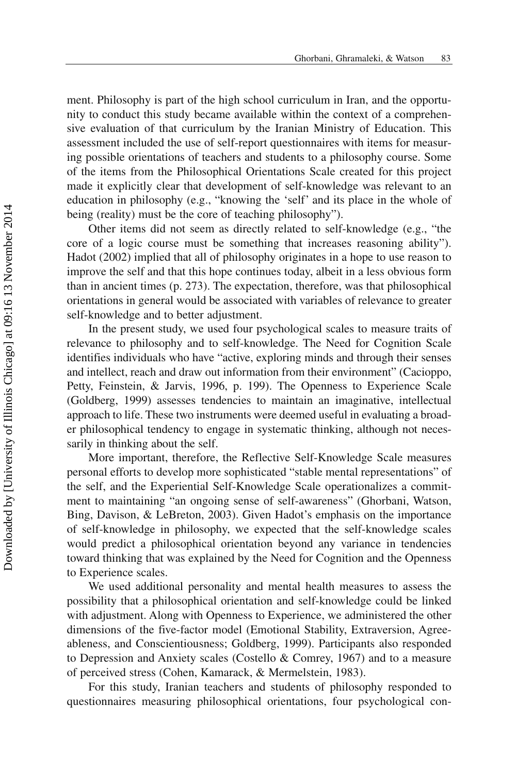ment. Philosophy is part of the high school curriculum in Iran, and the opportunity to conduct this study became available within the context of a comprehensive evaluation of that curriculum by the Iranian Ministry of Education. This assessment included the use of self-report questionnaires with items for measuring possible orientations of teachers and students to a philosophy course. Some of the items from the Philosophical Orientations Scale created for this project made it explicitly clear that development of self-knowledge was relevant to an education in philosophy (e.g., "knowing the 'self' and its place in the whole of being (reality) must be the core of teaching philosophy").

Other items did not seem as directly related to self-knowledge (e.g., "the core of a logic course must be something that increases reasoning ability"). Hadot (2002) implied that all of philosophy originates in a hope to use reason to improve the self and that this hope continues today, albeit in a less obvious form than in ancient times (p. 273). The expectation, therefore, was that philosophical orientations in general would be associated with variables of relevance to greater self-knowledge and to better adjustment.

In the present study, we used four psychological scales to measure traits of relevance to philosophy and to self-knowledge. The Need for Cognition Scale identifies individuals who have "active, exploring minds and through their senses and intellect, reach and draw out information from their environment" (Cacioppo, Petty, Feinstein, & Jarvis, 1996, p. 199). The Openness to Experience Scale (Goldberg, 1999) assesses tendencies to maintain an imaginative, intellectual approach to life. These two instruments were deemed useful in evaluating a broader philosophical tendency to engage in systematic thinking, although not necessarily in thinking about the self.

More important, therefore, the Reflective Self-Knowledge Scale measures personal efforts to develop more sophisticated "stable mental representations" of the self, and the Experiential Self-Knowledge Scale operationalizes a commitment to maintaining "an ongoing sense of self-awareness" (Ghorbani, Watson, Bing, Davison, & LeBreton, 2003). Given Hadot's emphasis on the importance of self-knowledge in philosophy, we expected that the self-knowledge scales would predict a philosophical orientation beyond any variance in tendencies toward thinking that was explained by the Need for Cognition and the Openness to Experience scales.

We used additional personality and mental health measures to assess the possibility that a philosophical orientation and self-knowledge could be linked with adjustment. Along with Openness to Experience, we administered the other dimensions of the five-factor model (Emotional Stability, Extraversion, Agreeableness, and Conscientiousness; Goldberg, 1999). Participants also responded to Depression and Anxiety scales (Costello & Comrey, 1967) and to a measure of perceived stress (Cohen, Kamarack, & Mermelstein, 1983).

For this study, Iranian teachers and students of philosophy responded to questionnaires measuring philosophical orientations, four psychological con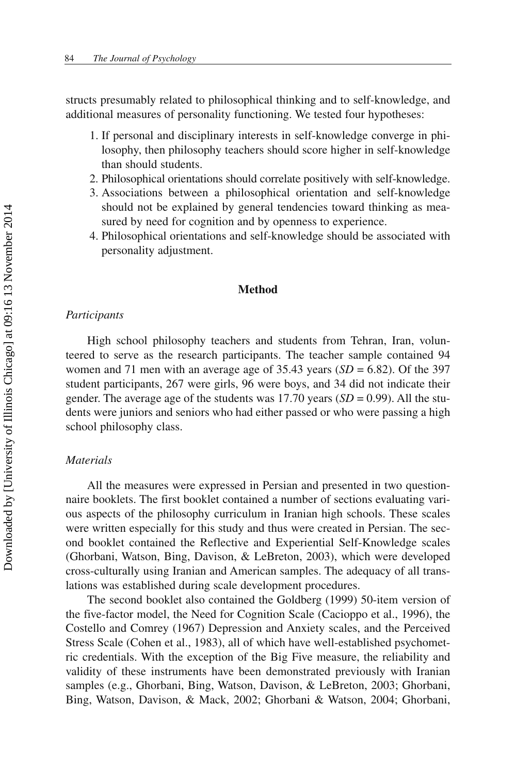structs presumably related to philosophical thinking and to self-knowledge, and additional measures of personality functioning. We tested four hypotheses:

- 1. If personal and disciplinary interests in self-knowledge converge in philosophy, then philosophy teachers should score higher in self-knowledge than should students.
- 2. Philosophical orientations should correlate positively with self-knowledge.
- 3. Associations between a philosophical orientation and self-knowledge should not be explained by general tendencies toward thinking as measured by need for cognition and by openness to experience.
- 4. Philosophical orientations and self-knowledge should be associated with personality adjustment.

### **Method**

#### *Participants*

High school philosophy teachers and students from Tehran, Iran, volunteered to serve as the research participants. The teacher sample contained 94 women and 71 men with an average age of  $35.43$  years (*SD* = 6.82). Of the 397 student participants, 267 were girls, 96 were boys, and 34 did not indicate their gender. The average age of the students was 17.70 years (*SD* = 0.99). All the students were juniors and seniors who had either passed or who were passing a high school philosophy class.

#### *Materials*

All the measures were expressed in Persian and presented in two questionnaire booklets. The first booklet contained a number of sections evaluating various aspects of the philosophy curriculum in Iranian high schools. These scales were written especially for this study and thus were created in Persian. The second booklet contained the Reflective and Experiential Self-Knowledge scales (Ghorbani, Watson, Bing, Davison, & LeBreton, 2003), which were developed cross-culturally using Iranian and American samples. The adequacy of all translations was established during scale development procedures.

The second booklet also contained the Goldberg (1999) 50-item version of the five-factor model, the Need for Cognition Scale (Cacioppo et al., 1996), the Costello and Comrey (1967) Depression and Anxiety scales, and the Perceived Stress Scale (Cohen et al., 1983), all of which have well-established psychometric credentials. With the exception of the Big Five measure, the reliability and validity of these instruments have been demonstrated previously with Iranian samples (e.g., Ghorbani, Bing, Watson, Davison, & LeBreton, 2003; Ghorbani, Bing, Watson, Davison, & Mack, 2002; Ghorbani & Watson, 2004; Ghorbani,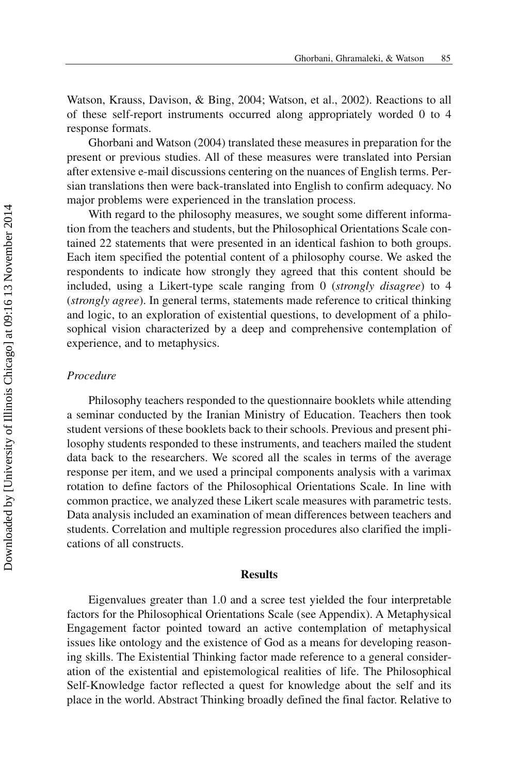Watson, Krauss, Davison, & Bing, 2004; Watson, et al., 2002). Reactions to all of these self-report instruments occurred along appropriately worded 0 to 4 response formats.

Ghorbani and Watson (2004) translated these measures in preparation for the present or previous studies. All of these measures were translated into Persian after extensive e-mail discussions centering on the nuances of English terms. Persian translations then were back-translated into English to confirm adequacy. No major problems were experienced in the translation process.

With regard to the philosophy measures, we sought some different information from the teachers and students, but the Philosophical Orientations Scale contained 22 statements that were presented in an identical fashion to both groups. Each item specified the potential content of a philosophy course. We asked the respondents to indicate how strongly they agreed that this content should be included, using a Likert-type scale ranging from 0 (*strongly disagree*) to 4 (*strongly agree*). In general terms, statements made reference to critical thinking and logic, to an exploration of existential questions, to development of a philosophical vision characterized by a deep and comprehensive contemplation of experience, and to metaphysics.

#### *Procedure*

Philosophy teachers responded to the questionnaire booklets while attending a seminar conducted by the Iranian Ministry of Education. Teachers then took student versions of these booklets back to their schools. Previous and present philosophy students responded to these instruments, and teachers mailed the student data back to the researchers. We scored all the scales in terms of the average response per item, and we used a principal components analysis with a varimax rotation to define factors of the Philosophical Orientations Scale. In line with common practice, we analyzed these Likert scale measures with parametric tests. Data analysis included an examination of mean differences between teachers and students. Correlation and multiple regression procedures also clarified the implications of all constructs.

#### **Results**

Eigenvalues greater than 1.0 and a scree test yielded the four interpretable factors for the Philosophical Orientations Scale (see Appendix). A Metaphysical Engagement factor pointed toward an active contemplation of metaphysical issues like ontology and the existence of God as a means for developing reasoning skills. The Existential Thinking factor made reference to a general consideration of the existential and epistemological realities of life. The Philosophical Self-Knowledge factor reflected a quest for knowledge about the self and its place in the world. Abstract Thinking broadly defined the final factor. Relative to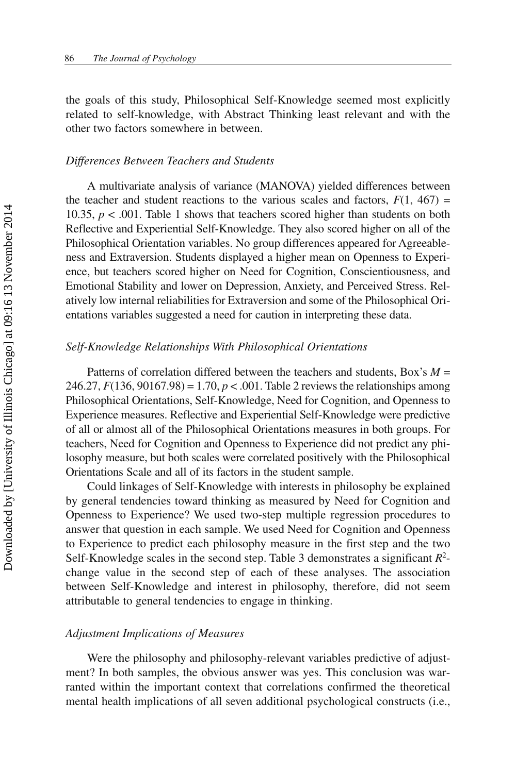the goals of this study, Philosophical Self-Knowledge seemed most explicitly related to self-knowledge, with Abstract Thinking least relevant and with the other two factors somewhere in between.

## *Differences Between Teachers and Students*

A multivariate analysis of variance (MANOVA) yielded differences between the teacher and student reactions to the various scales and factors,  $F(1, 467) =$ 10.35,  $p < .001$ . Table 1 shows that teachers scored higher than students on both Reflective and Experiential Self-Knowledge. They also scored higher on all of the Philosophical Orientation variables. No group differences appeared for Agreeableness and Extraversion. Students displayed a higher mean on Openness to Experience, but teachers scored higher on Need for Cognition, Conscientiousness, and Emotional Stability and lower on Depression, Anxiety, and Perceived Stress. Relatively low internal reliabilities for Extraversion and some of the Philosophical Orientations variables suggested a need for caution in interpreting these data.

#### *Self-Knowledge Relationships With Philosophical Orientations*

Patterns of correlation differed between the teachers and students, Box's *M* = 246.27,  $F(136, 90167.98) = 1.70, p < .001$ . Table 2 reviews the relationships among Philosophical Orientations, Self-Knowledge, Need for Cognition, and Openness to Experience measures. Reflective and Experiential Self-Knowledge were predictive of all or almost all of the Philosophical Orientations measures in both groups. For teachers, Need for Cognition and Openness to Experience did not predict any philosophy measure, but both scales were correlated positively with the Philosophical Orientations Scale and all of its factors in the student sample.

Could linkages of Self-Knowledge with interests in philosophy be explained by general tendencies toward thinking as measured by Need for Cognition and Openness to Experience? We used two-step multiple regression procedures to answer that question in each sample. We used Need for Cognition and Openness to Experience to predict each philosophy measure in the first step and the two Self-Knowledge scales in the second step. Table 3 demonstrates a significant  $R^2$ change value in the second step of each of these analyses. The association between Self-Knowledge and interest in philosophy, therefore, did not seem attributable to general tendencies to engage in thinking.

### *Adjustment Implications of Measures*

Were the philosophy and philosophy-relevant variables predictive of adjustment? In both samples, the obvious answer was yes. This conclusion was warranted within the important context that correlations confirmed the theoretical mental health implications of all seven additional psychological constructs (i.e.,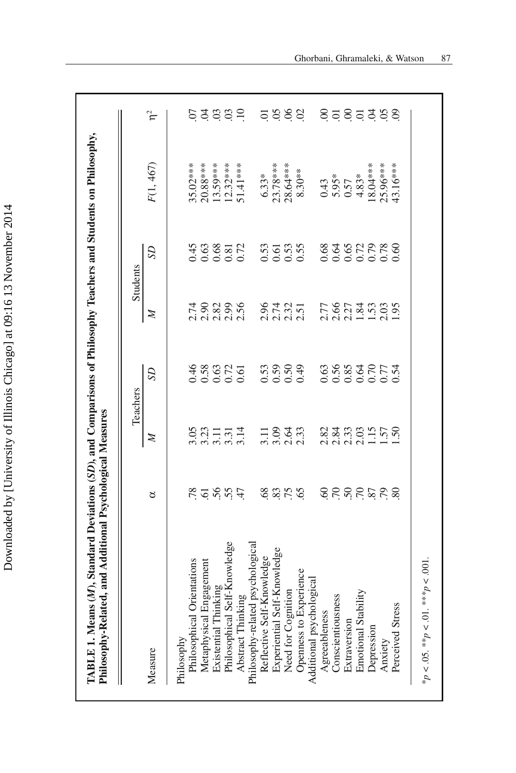Downloaded by [University of Illinois Chicago] at 09:16 13 November 2014 Downloaded by [University of Illinois Chicago] at 09:16 13 November 2014

esese  $5.588$ Philosophical Orientations .78 3.05 3.045 35.02\*\*\* .074 0.45 35.02\*\*\* det .63 20.88\*\*\* 20.58 0.58 0.58 2.33 0.58 2.91 0.63 2.90 0.63 2.92 2.90 0.63 2.92 Existential Thinking .56 56 31.1 0.63 2.82 0.68 13.59\*\*\* .03 Philosophical Self-Knowledge .55 .53 .53 .59 0.81 12.32\*\*\* .03 Abstract Thinking .47 3.14 0.61 2.56 0.72 51.41\*\*\* .10 Experiential Self-Knowledge .83 3.09 3.09 3.09 3.04 0.61 2.74  $\frac{23.78**}{5.2.78**}$ Need for Cognition .06 2.64 2.64 .2.32 0.53 28.64\*\*\* .2.32 0.53 Openness to Experience .65 .65 .65 .65 .65 .65 .65 .65 .655 .655 .649 .65  $\tilde{\mathsf{r}}$ Measure  $\alpha$  *M SD M SD M SD M* Reflective Self-Knowledge .68 .63 .653 .653 .633\* .01 TABLE 1. Means (M), Standard Deviations (SD), and Comparisons of Philosophy Teachers and Students on Philosophy, **TABLE 1. Means (***M***), Standard Deviations (***SD***), and Comparisons of Philosophy Teachers and Students on Philosophy,**  $20.88***$ 13.59\*\*\*  $12.32***$  $6.33*$ <br>23.78\*\*\*<br>28.64\*\*\*<br>8.30\*\* F(1, 467) 35.02\*\*\*  $51.41***$  $0.45$ 0.63<br>0.68<br>0.72 0.53<br>0.65<br>0.55  $S<sub>D</sub>$ Students Teachers Students 758356 2.96<br>2.73<br>2.51  $\mathbb{Z}$  $3,889$ <br> $0.009$ <br> $0.009$ 46<br>0.58<br>0.0.0.0.0  $S<sub>D</sub>$ Teachers Philosophy-Related, and Additional Psychological Measures **Philosophy-Related, and Additional Psychological Measures**  $3.314$ <br> $3.314$ 3.05 11843<br>11843  $\overline{M}$  $85887$  $8876$ ರ Philosophy-related psychological Abstract Thinking<br>Philosophy-related psychological Existential Thinking<br>Philosophical Self-Knowledge Experiential Self-Knowledge Reflective Self-Knowledge Philosophical Orientations Metaphysical Engagement Openness to Experience Additional psychological Additional psychological Need for Cognition Philosophy Measure

 $8.04***$ 25.96\*\*\* 13.16\*\*\*

 $776745095$ 

8222228

Emotional Stability Conscientiousness

Agreeableness Extraversion Depression Anxiety

 $0.43$ <br>5.95\*<br>0.57<br>4.83\*

8585388

Agreeableness .60 .60 .60 .60 .60 .68 .68 .68 .68 .69 .69 .69 .68 .043 Conscientiousness .70 2.84 0.56 2.66 0.64 5.95\* .70 Extraversion .50 .53  $0.85$   $2.33$   $0.85$   $0.65$   $0.57$   $0.57$ IO.  $2\frac{8.8}{4}$  .70  $2\frac{1}{8}$  .70  $2\frac{1}{8}$  .01.10  $2\frac{1}{8}$  .01.10  $2\frac{1}{8}$  .01.10  $2\frac{1}{8}$  .01.10  $2\frac{1}{8}$  .01.10  $2\frac{1}{8}$  .01.10  $2\frac{1}{8}$  .01.10  $2\frac{1}{8}$  .01.10  $2\frac{1}{8}$  .01.10  $2\frac{1}{8}$  .01.10  $2\frac{$ Depression .87 1.15 0.70 1.53 0.79 18.04\*\*\* .04 Anxiety .79  $2.05$  .79  $2.03$  .79  $2.05$  .78  $2.96**$  .05 .05 .05 .05 .05 .05 .05 .17 Perceived Stress .80 1.50 1.50 1.54 .80 .80 0.60 0.60 1.31.16\*\*\* .09

 $*p < .05$ .  $* p < .01$ .  $* * p < .001$ \**p* < .05. \*\**p* < .01. \*\*\**p* < .001.

Perceived Stress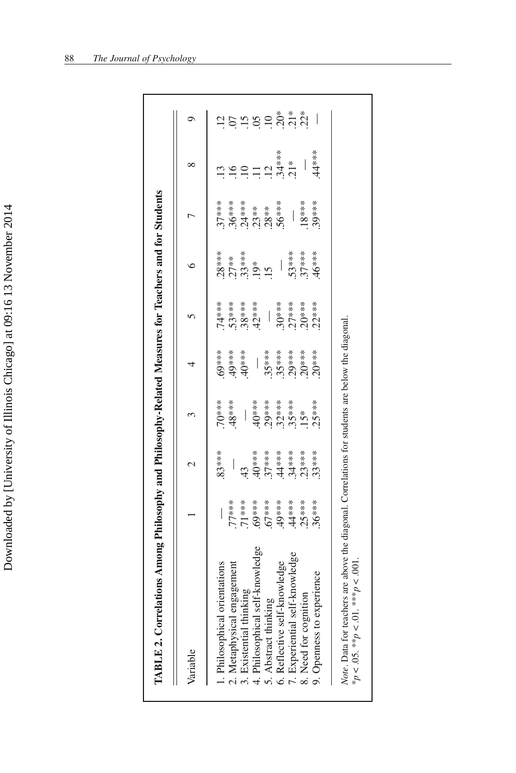| TABLE 2. Correlations Among Philosophy and Philosophy-Related Measures for Teachers and for Students                                                                                                                                                                      |                                                                              |                                                                                 |                                                                     |                                                                                                     |                                                                                    |                                                                            |                                                                                              |                                              |                                                              |
|---------------------------------------------------------------------------------------------------------------------------------------------------------------------------------------------------------------------------------------------------------------------------|------------------------------------------------------------------------------|---------------------------------------------------------------------------------|---------------------------------------------------------------------|-----------------------------------------------------------------------------------------------------|------------------------------------------------------------------------------------|----------------------------------------------------------------------------|----------------------------------------------------------------------------------------------|----------------------------------------------|--------------------------------------------------------------|
| Variable                                                                                                                                                                                                                                                                  |                                                                              |                                                                                 |                                                                     |                                                                                                     |                                                                                    |                                                                            |                                                                                              |                                              |                                                              |
| 4. Philosophical self-knowledge<br>7. Experiential self-knowledge<br>6. Reflective self-knowledge<br>1. Philosophical orientations<br>2. Metaphysical engagement<br>9. Openness to experience<br>3. Existential thinking<br>8. Need for cognition<br>5. Abstract thinking | ***09.<br>***17.<br>***17.<br>$****$<br>49***<br>$44**$<br>$25**$<br>$36***$ | 83****<br>$44***$<br>$34***$<br>$23***$<br>$33***$<br>$40***$<br>$.37***$<br>43 | 70***<br>.48***<br>$.29***$<br>$32***$<br>25***<br>$40***$<br>$15*$ | 69***<br>$.49***$<br>$.35***$<br>$.35***$<br>$.29***$<br>$.20***$<br>$.20***$<br>$-4.8$<br>$\bigg $ | 74****<br>$.27***$<br>$.53***$<br>38***<br>42***<br>$.30***$<br>$20***$<br>$22***$ | $28**$<br>$27**$<br>$23**$<br>$-15$<br>$-15$<br>$.53***$<br>37***<br>46*** | $37***$<br>$36***$<br>$24***$<br>$23**$<br>$28***$<br>$18***$<br>39***<br>56****<br>$\bigg $ | 44***<br>$.34***$<br>$21*$<br>$\overline{2}$ | $20*$<br>$21*$<br>$22*$<br>$\overline{10}$<br>$\overline{0}$ |
| Note. Data for teachers are above the diagonal. Correlations for students are below the diagonal<br>$A^*p < 0.05$ . *** $10.5$ (1.4** $p < 0.01$                                                                                                                          |                                                                              |                                                                                 |                                                                     |                                                                                                     |                                                                                    |                                                                            |                                                                                              |                                              |                                                              |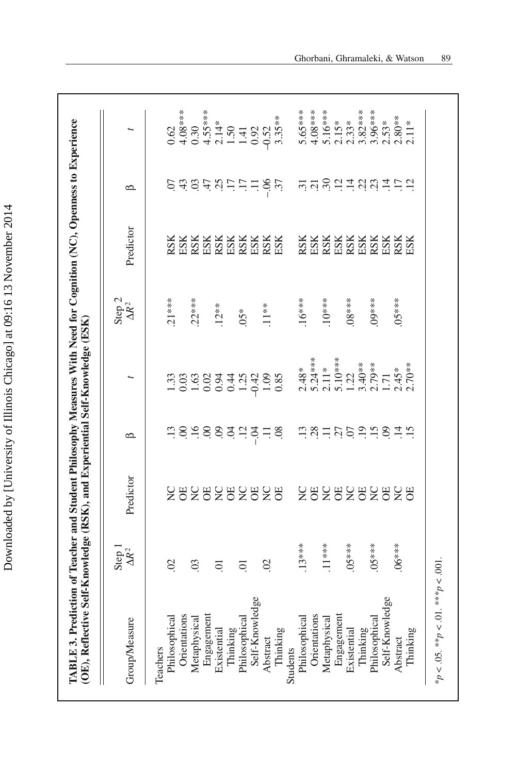Downloaded by [University of Illinois Chicago] at 09:16 13 November 2014 Downloaded by [University of Illinois Chicago] at 09:16 13 November 2014

 $3.82***$ <br>3.96 \*\*  $0.30$ <br>  $4.55***$ <br>  $2.14*$ <br>  $1.50$ <br>  $1.41$  $4.08***$ 5.16\*\*\* Ofientations  $\overline{O}$  .43  $\overline{O}$  . The constraints of the constraints of the constraints of the constraints of the constraints of the constraints of the constraints of the constraints of the constraints of the constrain Engagement  $4.55$ \*\*\* ESK  $602$  . The contract of  $4.55$ \*\*\*  $-0.52$ <br>3.35\*\* 5.65\*\*\*\*<br>4.08\*\*\*\* Philosophical .13\*\*\*\* NC .13 2.48\* .13 .13 .13 .12 .165\*\*\* .165\*\*\* Orientations OE .28 5.24\*\*\* ESK .21 4.08\*\*\* Metaphysical .11\*\*\* NC .11 2.11\* .10\*\*\* RSK .30 5.16\*\*\* Thinking  $\frac{19}{3.82}$  .19  $\frac{19}{3.40}$  .19  $\frac{19}{3.82}$  .22 Philosophical .23\*\*\*\*\* .05\*\* .02.79\*\*\* .09\*\* .09\*\* .09\*\*\* .09\*\*\* .09\*\* .09\*\*\* .09\*  $2.80***$ Thinking  $\overline{O}$  .08 0.85 0.85 .375\*\*  $2.33*$  $2.53*$ Abstract .17 .1380\*\*\* .06\*\*\* .14 .14 .14 .15\*\* .05\*\* RSK .17 .180\*\*  $2.11*$ TABLE 3. Prediction of Teacher and Student Philosophy Measures With Need for Cognition (NC), Openness to Experience  $2.15*$ **TABLE 3. Prediction of Teacher and Student Philosophy Measures With Need for Cognition (NC), Openness to Experience** Existential .01 .09 .094 .12\*\* RSK .25 .25 .14\* Engagement  $21.5^*$  5.10\*\*\*  $5.10^{***}$  5.10\*\* Existential .14 .14 .133\*\*\*\* NC .07 .07 .07 .07 .008 .07 .008 .07 .08\*\*\*\* Self-Knowledge  $2.53*$   $171$   $171$   $188K$   $2.53*$ Thinking  $\overline{2.70^{***}}$  .15  $\overline{2.70^{***}}$  2.12  $\overline{2.11^{*}}$ 0.62 0.92  $\overline{ }$ Philosophical .02 NC .13 1.33 .21\*\*\* RSK .07 0.62  $\sum_{i=1}^{\infty}$  .03 .22\*\*\* RSK .22\*\*\* RSK .22\*\* RSK .22\*\* RSK .22\*\* RSK .22\* Thinking  $\frac{1}{2}$  . Thinking that the contract of  $44$  OE . One of the contract of the contract of the contract of the contract of the contract of the contract of the contract of the contract of the contract of the contr Philosophical .01 NC .12 1.25 .05\* RSK .17 1.41 Self-Knowledge OE –0.42 DH –0.4 –0.42 DH –0.62 ESK .11 1.1 0.92 Abstract .02 NC .11 1.09 .11\*\* RSK –.06 –0.52 Group/Measure ∆*R*2 Predictor β *t* ∆*R*2 Predictor β *t* edade de la la de siggitaggitta  $\sim$ Predictor **KAKKAKKAKK**<br>KAKKKAKKKK **KAK KAK KAK KAK**<br>KAK KAK KAK KAK Step 2<br> $\Delta R^2$  $05***$  $21***$  $.22***$  $.16***$  $.10***$  $08***$  $00***$ Step 1 Step 2  $12**$  $11**$  $05*$ (OE), Reflective Self-Knowledge (RSK), and Experiential Self-Knowledge (ESK) **(OE), Reflective Self-Knowledge (RSK), and Experiential Self-Knowledge (ESK)**  $2.11**$ <br>5.10\*\*  $2.48**$ <br>5.24\*\*\*  $\frac{1.22}{3.40**}$ <br> $\frac{2.79**}{1.71}$  $2.45**$ <br>2.70\*\*  $\begin{array}{c}\n 1.33 \\
 1.33 \\
 0.53 \\
 0.63 \\
 0.73 \\
 0.85 \\
 0.73 \\
 0.85 \\
 0.85 \\
 0.85 \\
 0.85 \\
 0.85 \\
 0.85 \\
 0.85 \\
 0.85 \\
 0.85 \\
 0.85 \\
 0.85 \\
 0.85 \\
 0.85 \\
 0.85 \\
 0.85 \\
 0.85 \\
 0.85 \\
 0.85 \\
 0.85 \\
 0.85 \\
 0.85 \\
 0.85 \\
 0.85 \\
 0.85 \\
 0.85 \\
 0.85 \\
 0.85 \\
 0.85 \\
 0$  $\overline{\phantom{a}}$ HSSSSSHSFS ngungangun  $\spadesuit$ Predictor 2828282828 2828282828  $06***$  $05***$  $13***$  $.11***$  $05***$ Step 1<br> $\Delta R^2$  $\infty$  $\mathfrak{S}$  $\Omega$ \* $p < 0.05$ . \*\* $p < 0.01$ . \*\*\* $p < 0.001$ . \**p* < .05. \*\**p* < .01. \*\*\**p* < .001.  $\overline{0}$  $\overline{O}$ Self-Knowledge Self-Knowledge Thinking<br>Philosophical Engagement Engagement Orientations Orientations Philosophical Philosophical Metaphysical Philosophical Group/Measure Metaphysical Thinking Thinking Existential Existential Thinking Abstract Abstract Students Teachers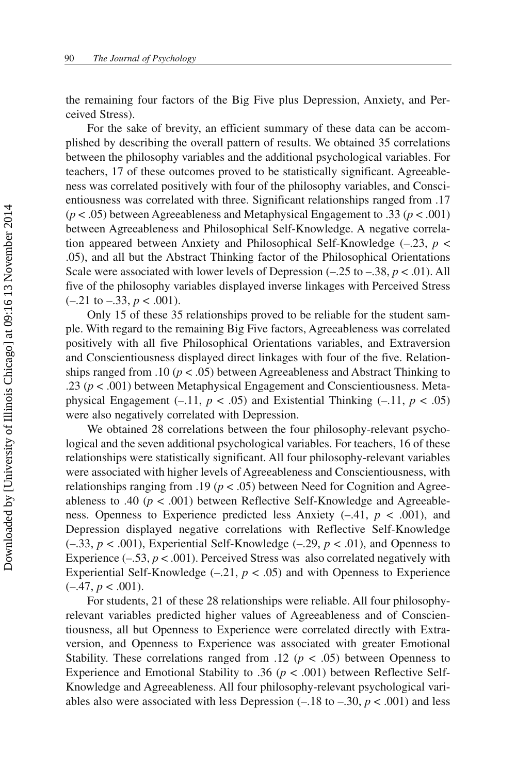the remaining four factors of the Big Five plus Depression, Anxiety, and Perceived Stress).

For the sake of brevity, an efficient summary of these data can be accomplished by describing the overall pattern of results. We obtained 35 correlations between the philosophy variables and the additional psychological variables. For teachers, 17 of these outcomes proved to be statistically significant. Agreeableness was correlated positively with four of the philosophy variables, and Conscientiousness was correlated with three. Significant relationships ranged from .17 (*p* < .05) between Agreeableness and Metaphysical Engagement to .33 (*p* < .001) between Agreeableness and Philosophical Self-Knowledge. A negative correlation appeared between Anxiety and Philosophical Self-Knowledge (–.23, *p* < .05), and all but the Abstract Thinking factor of the Philosophical Orientations Scale were associated with lower levels of Depression (–.25 to –.38, *p* < .01). All five of the philosophy variables displayed inverse linkages with Perceived Stress  $(-.21 \text{ to } -.33, p < .001).$ 

Only 15 of these 35 relationships proved to be reliable for the student sample. With regard to the remaining Big Five factors, Agreeableness was correlated positively with all five Philosophical Orientations variables, and Extraversion and Conscientiousness displayed direct linkages with four of the five. Relationships ranged from .10 ( $p < .05$ ) between Agreeableness and Abstract Thinking to .23 (*p* < .001) between Metaphysical Engagement and Conscientiousness. Metaphysical Engagement  $(-.11, p < .05)$  and Existential Thinking  $(-.11, p < .05)$ were also negatively correlated with Depression.

We obtained 28 correlations between the four philosophy-relevant psychological and the seven additional psychological variables. For teachers, 16 of these relationships were statistically significant. All four philosophy-relevant variables were associated with higher levels of Agreeableness and Conscientiousness, with relationships ranging from .19 ( $p < .05$ ) between Need for Cognition and Agreeableness to .40 (*p* < .001) between Reflective Self-Knowledge and Agreeableness. Openness to Experience predicted less Anxiety (–.41, *p* < .001), and Depression displayed negative correlations with Reflective Self-Knowledge (–.33, *p* < .001), Experiential Self-Knowledge (–.29, *p* < .01), and Openness to Experience  $(-.53, p < .001)$ . Perceived Stress was also correlated negatively with Experiential Self-Knowledge  $(-.21, p < .05)$  and with Openness to Experience  $(-.47, p < .001)$ .

For students, 21 of these 28 relationships were reliable. All four philosophyrelevant variables predicted higher values of Agreeableness and of Conscientiousness, all but Openness to Experience were correlated directly with Extraversion, and Openness to Experience was associated with greater Emotional Stability. These correlations ranged from .12 ( $p < .05$ ) between Openness to Experience and Emotional Stability to .36 ( $p < .001$ ) between Reflective Self-Knowledge and Agreeableness. All four philosophy-relevant psychological variables also were associated with less Depression  $(-.18 \text{ to } -.30, p < .001)$  and less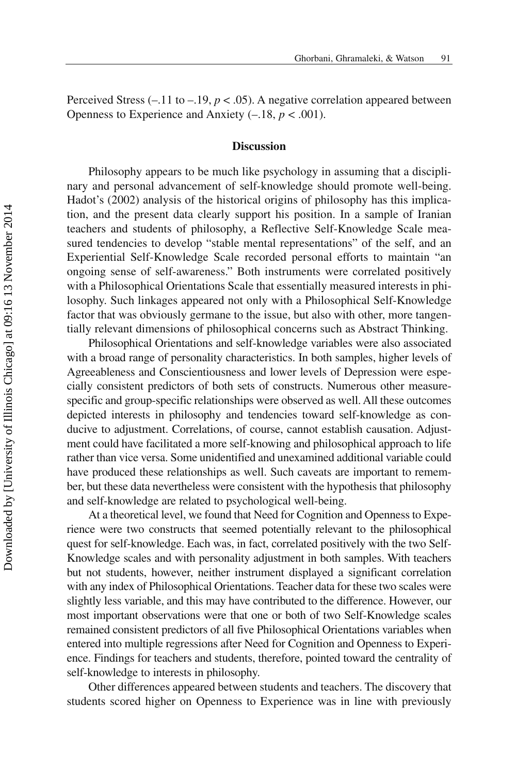Perceived Stress  $(-.11 \text{ to } -.19, p < .05)$ . A negative correlation appeared between Openness to Experience and Anxiety (–.18, *p* < .001).

#### **Discussion**

Philosophy appears to be much like psychology in assuming that a disciplinary and personal advancement of self-knowledge should promote well-being. Hadot's (2002) analysis of the historical origins of philosophy has this implication, and the present data clearly support his position. In a sample of Iranian teachers and students of philosophy, a Reflective Self-Knowledge Scale measured tendencies to develop "stable mental representations" of the self, and an Experiential Self-Knowledge Scale recorded personal efforts to maintain "an ongoing sense of self-awareness." Both instruments were correlated positively with a Philosophical Orientations Scale that essentially measured interests in philosophy. Such linkages appeared not only with a Philosophical Self-Knowledge factor that was obviously germane to the issue, but also with other, more tangentially relevant dimensions of philosophical concerns such as Abstract Thinking.

Philosophical Orientations and self-knowledge variables were also associated with a broad range of personality characteristics. In both samples, higher levels of Agreeableness and Conscientiousness and lower levels of Depression were especially consistent predictors of both sets of constructs. Numerous other measurespecific and group-specific relationships were observed as well. All these outcomes depicted interests in philosophy and tendencies toward self-knowledge as conducive to adjustment. Correlations, of course, cannot establish causation. Adjustment could have facilitated a more self-knowing and philosophical approach to life rather than vice versa. Some unidentified and unexamined additional variable could have produced these relationships as well. Such caveats are important to remember, but these data nevertheless were consistent with the hypothesis that philosophy and self-knowledge are related to psychological well-being.

At a theoretical level, we found that Need for Cognition and Openness to Experience were two constructs that seemed potentially relevant to the philosophical quest for self-knowledge. Each was, in fact, correlated positively with the two Self-Knowledge scales and with personality adjustment in both samples. With teachers but not students, however, neither instrument displayed a significant correlation with any index of Philosophical Orientations. Teacher data for these two scales were slightly less variable, and this may have contributed to the difference. However, our most important observations were that one or both of two Self-Knowledge scales remained consistent predictors of all five Philosophical Orientations variables when entered into multiple regressions after Need for Cognition and Openness to Experience. Findings for teachers and students, therefore, pointed toward the centrality of self-knowledge to interests in philosophy.

Other differences appeared between students and teachers. The discovery that students scored higher on Openness to Experience was in line with previously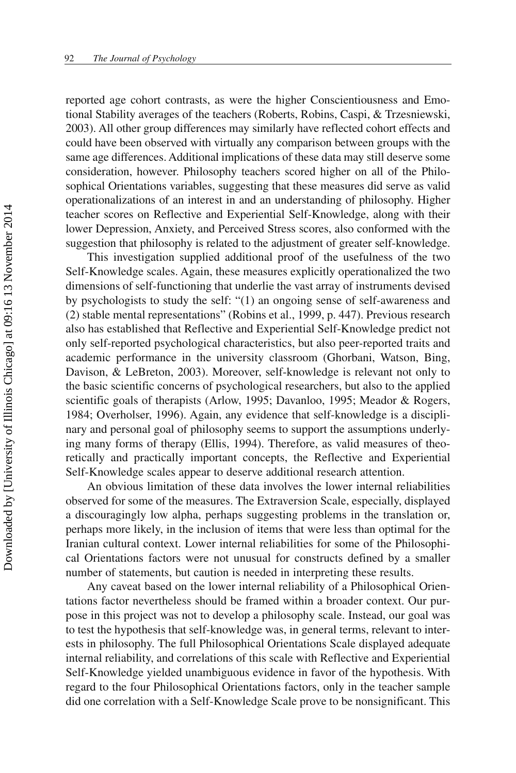reported age cohort contrasts, as were the higher Conscientiousness and Emotional Stability averages of the teachers (Roberts, Robins, Caspi, & Trzesniewski, 2003). All other group differences may similarly have reflected cohort effects and could have been observed with virtually any comparison between groups with the same age differences. Additional implications of these data may still deserve some consideration, however. Philosophy teachers scored higher on all of the Philosophical Orientations variables, suggesting that these measures did serve as valid operationalizations of an interest in and an understanding of philosophy. Higher teacher scores on Reflective and Experiential Self-Knowledge, along with their lower Depression, Anxiety, and Perceived Stress scores, also conformed with the suggestion that philosophy is related to the adjustment of greater self-knowledge.

This investigation supplied additional proof of the usefulness of the two Self-Knowledge scales. Again, these measures explicitly operationalized the two dimensions of self-functioning that underlie the vast array of instruments devised by psychologists to study the self: "(1) an ongoing sense of self-awareness and (2) stable mental representations" (Robins et al., 1999, p. 447). Previous research also has established that Reflective and Experiential Self-Knowledge predict not only self-reported psychological characteristics, but also peer-reported traits and academic performance in the university classroom (Ghorbani, Watson, Bing, Davison, & LeBreton, 2003). Moreover, self-knowledge is relevant not only to the basic scientific concerns of psychological researchers, but also to the applied scientific goals of therapists (Arlow, 1995; Davanloo, 1995; Meador & Rogers, 1984; Overholser, 1996). Again, any evidence that self-knowledge is a disciplinary and personal goal of philosophy seems to support the assumptions underlying many forms of therapy (Ellis, 1994). Therefore, as valid measures of theoretically and practically important concepts, the Reflective and Experiential Self-Knowledge scales appear to deserve additional research attention.

An obvious limitation of these data involves the lower internal reliabilities observed for some of the measures. The Extraversion Scale, especially, displayed a discouragingly low alpha, perhaps suggesting problems in the translation or, perhaps more likely, in the inclusion of items that were less than optimal for the Iranian cultural context. Lower internal reliabilities for some of the Philosophical Orientations factors were not unusual for constructs defined by a smaller number of statements, but caution is needed in interpreting these results.

Any caveat based on the lower internal reliability of a Philosophical Orientations factor nevertheless should be framed within a broader context. Our purpose in this project was not to develop a philosophy scale. Instead, our goal was to test the hypothesis that self-knowledge was, in general terms, relevant to interests in philosophy. The full Philosophical Orientations Scale displayed adequate internal reliability, and correlations of this scale with Reflective and Experiential Self-Knowledge yielded unambiguous evidence in favor of the hypothesis. With regard to the four Philosophical Orientations factors, only in the teacher sample did one correlation with a Self-Knowledge Scale prove to be nonsignificant. This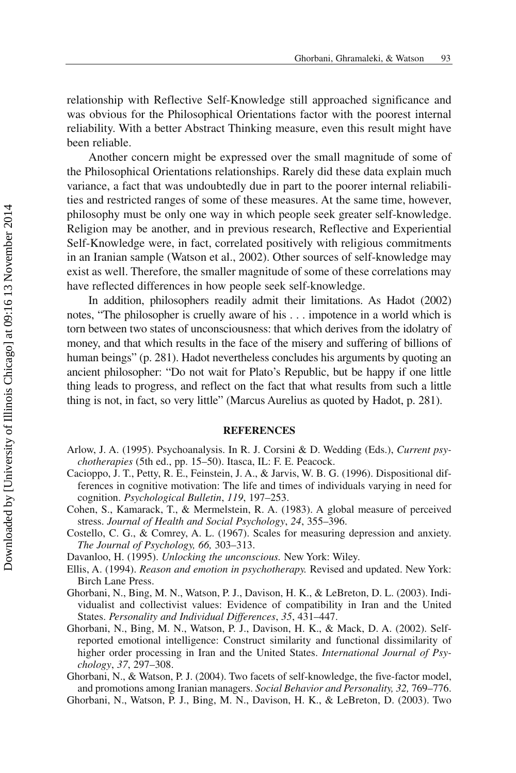relationship with Reflective Self-Knowledge still approached significance and was obvious for the Philosophical Orientations factor with the poorest internal reliability. With a better Abstract Thinking measure, even this result might have been reliable.

Another concern might be expressed over the small magnitude of some of the Philosophical Orientations relationships. Rarely did these data explain much variance, a fact that was undoubtedly due in part to the poorer internal reliabilities and restricted ranges of some of these measures. At the same time, however, philosophy must be only one way in which people seek greater self-knowledge. Religion may be another, and in previous research, Reflective and Experiential Self-Knowledge were, in fact, correlated positively with religious commitments in an Iranian sample (Watson et al., 2002). Other sources of self-knowledge may exist as well. Therefore, the smaller magnitude of some of these correlations may have reflected differences in how people seek self-knowledge.

In addition, philosophers readily admit their limitations. As Hadot (2002) notes, "The philosopher is cruelly aware of his . . . impotence in a world which is torn between two states of unconsciousness: that which derives from the idolatry of money, and that which results in the face of the misery and suffering of billions of human beings" (p. 281). Hadot nevertheless concludes his arguments by quoting an ancient philosopher: "Do not wait for Plato's Republic, but be happy if one little thing leads to progress, and reflect on the fact that what results from such a little thing is not, in fact, so very little" (Marcus Aurelius as quoted by Hadot, p. 281).

#### **REFERENCES**

- Arlow, J. A. (1995). Psychoanalysis. In R. J. Corsini & D. Wedding (Eds.), *Current psychotherapies* (5th ed., pp. 15–50). Itasca, IL: F. E. Peacock.
- Cacioppo, J. T., Petty, R. E., Feinstein, J. A., & Jarvis, W. B. G. (1996). Dispositional differences in cognitive motivation: The life and times of individuals varying in need for cognition. *Psychological Bulletin*, *119*, 197–253.
- Cohen, S., Kamarack, T., & Mermelstein, R. A. (1983). A global measure of perceived stress. *Journal of Health and Social Psychology*, *24*, 355–396.
- Costello, C. G., & Comrey, A. L. (1967). Scales for measuring depression and anxiety. *The Journal of Psychology, 66,* 303–313.
- Davanloo, H. (1995). *Unlocking the unconscious.* New York: Wiley.
- Ellis, A. (1994). *Reason and emotion in psychotherapy.* Revised and updated. New York: Birch Lane Press.
- Ghorbani, N., Bing, M. N., Watson, P. J., Davison, H. K., & LeBreton, D. L. (2003). Individualist and collectivist values: Evidence of compatibility in Iran and the United States. *Personality and Individual Differences*, *35*, 431–447.
- Ghorbani, N., Bing, M. N., Watson, P. J., Davison, H. K., & Mack, D. A. (2002). Selfreported emotional intelligence: Construct similarity and functional dissimilarity of higher order processing in Iran and the United States. *International Journal of Psychology*, *37*, 297–308.
- Ghorbani, N., & Watson, P. J. (2004). Two facets of self-knowledge, the five-factor model, and promotions among Iranian managers. *Social Behavior and Personality, 32,* 769–776.
- Ghorbani, N., Watson, P. J., Bing, M. N., Davison, H. K., & LeBreton, D. (2003). Two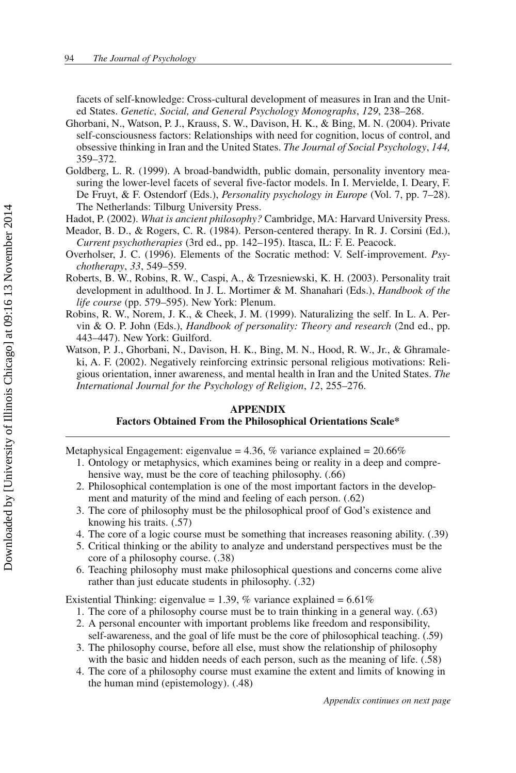facets of self-knowledge: Cross-cultural development of measures in Iran and the United States. *Genetic, Social, and General Psychology Monographs*, *129*, 238–268.

- Ghorbani, N., Watson, P. J., Krauss, S. W., Davison, H. K., & Bing, M. N. (2004). Private self-consciousness factors: Relationships with need for cognition, locus of control, and obsessive thinking in Iran and the United States. *The Journal of Social Psychology*, *144,* 359–372.
- Goldberg, L. R. (1999). A broad-bandwidth, public domain, personality inventory measuring the lower-level facets of several five-factor models. In I. Mervielde, I. Deary, F. De Fruyt, & F. Ostendorf (Eds.), *Personality psychology in Europe* (Vol. 7, pp. 7–28). The Netherlands: Tilburg University Press.
- Hadot, P. (2002). *What is ancient philosophy?* Cambridge, MA: Harvard University Press.
- Meador, B. D., & Rogers, C. R. (1984). Person-centered therapy. In R. J. Corsini (Ed.), *Current psychotherapies* (3rd ed., pp. 142–195). Itasca, IL: F. E. Peacock.
- Overholser, J. C. (1996). Elements of the Socratic method: V. Self-improvement. *Psychotherapy*, *33*, 549–559.
- Roberts, B. W., Robins, R. W., Caspi, A., & Trzesniewski, K. H. (2003). Personality trait development in adulthood. In J. L. Mortimer & M. Shanahari (Eds.), *Handbook of the life course* (pp. 579–595). New York: Plenum.
- Robins, R. W., Norem, J. K., & Cheek, J. M. (1999). Naturalizing the self. In L. A. Pervin & O. P. John (Eds.), *Handbook of personality: Theory and research* (2nd ed., pp. 443–447). New York: Guilford.
- Watson, P. J., Ghorbani, N., Davison, H. K., Bing, M. N., Hood, R. W., Jr., & Ghramaleki, A. F. (2002). Negatively reinforcing extrinsic personal religious motivations: Religious orientation, inner awareness, and mental health in Iran and the United States. *The International Journal for the Psychology of Religion*, *12*, 255–276.

## **APPENDIX Factors Obtained From the Philosophical Orientations Scale\***

Metaphysical Engagement: eigenvalue =  $4.36$ , % variance explained =  $20.66\%$ 

- 1. Ontology or metaphysics, which examines being or reality in a deep and comprehensive way, must be the core of teaching philosophy. (.66)
- 2. Philosophical contemplation is one of the most important factors in the development and maturity of the mind and feeling of each person. (.62)
- 3. The core of philosophy must be the philosophical proof of God's existence and knowing his traits. (.57)
- 4. The core of a logic course must be something that increases reasoning ability. (.39)
- 5. Critical thinking or the ability to analyze and understand perspectives must be the core of a philosophy course. (.38)
- 6. Teaching philosophy must make philosophical questions and concerns come alive rather than just educate students in philosophy. (.32)

Existential Thinking: eigenvalue = 1.39, % variance explained =  $6.61\%$ 

- 1. The core of a philosophy course must be to train thinking in a general way. (.63)
- 2. A personal encounter with important problems like freedom and responsibility, self-awareness, and the goal of life must be the core of philosophical teaching. (.59)
- 3. The philosophy course, before all else, must show the relationship of philosophy with the basic and hidden needs of each person, such as the meaning of life. (.58)
- 4. The core of a philosophy course must examine the extent and limits of knowing in the human mind (epistemology). (.48)